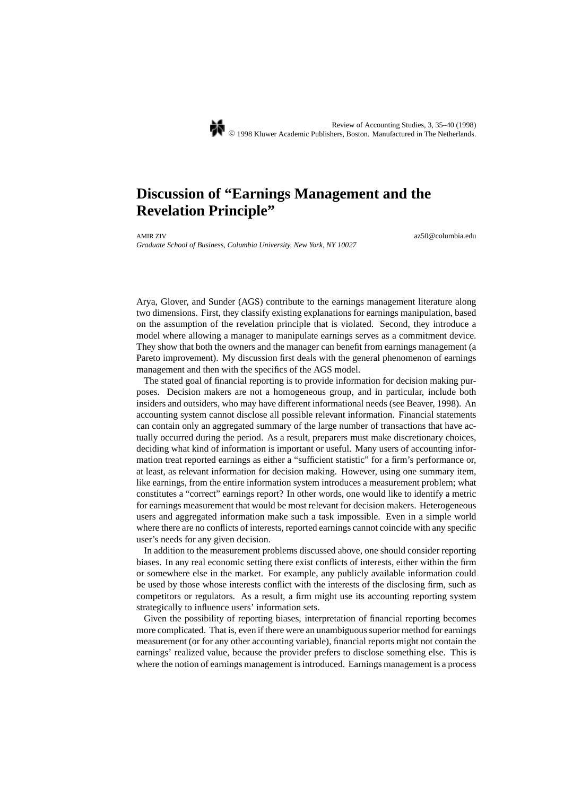# **Discussion of "Earnings Management and the Revelation Principle"**

*Graduate School of Business, Columbia University, New York, NY 10027*

AMIR ZIV az50@columbia.edu

Arya, Glover, and Sunder (AGS) contribute to the earnings management literature along two dimensions. First, they classify existing explanations for earnings manipulation, based on the assumption of the revelation principle that is violated. Second, they introduce a model where allowing a manager to manipulate earnings serves as a commitment device. They show that both the owners and the manager can benefit from earnings management (a Pareto improvement). My discussion first deals with the general phenomenon of earnings management and then with the specifics of the AGS model.

The stated goal of financial reporting is to provide information for decision making purposes. Decision makers are not a homogeneous group, and in particular, include both insiders and outsiders, who may have different informational needs (see Beaver, 1998). An accounting system cannot disclose all possible relevant information. Financial statements can contain only an aggregated summary of the large number of transactions that have actually occurred during the period. As a result, preparers must make discretionary choices, deciding what kind of information is important or useful. Many users of accounting information treat reported earnings as either a "sufficient statistic" for a firm's performance or, at least, as relevant information for decision making. However, using one summary item, like earnings, from the entire information system introduces a measurement problem; what constitutes a "correct" earnings report? In other words, one would like to identify a metric for earnings measurement that would be most relevant for decision makers. Heterogeneous users and aggregated information make such a task impossible. Even in a simple world where there are no conflicts of interests, reported earnings cannot coincide with any specific user's needs for any given decision.

In addition to the measurement problems discussed above, one should consider reporting biases. In any real economic setting there exist conflicts of interests, either within the firm or somewhere else in the market. For example, any publicly available information could be used by those whose interests conflict with the interests of the disclosing firm, such as competitors or regulators. As a result, a firm might use its accounting reporting system strategically to influence users' information sets.

Given the possibility of reporting biases, interpretation of financial reporting becomes more complicated. That is, even if there were an unambiguous superior method for earnings measurement (or for any other accounting variable), financial reports might not contain the earnings' realized value, because the provider prefers to disclose something else. This is where the notion of earnings management is introduced. Earnings management is a process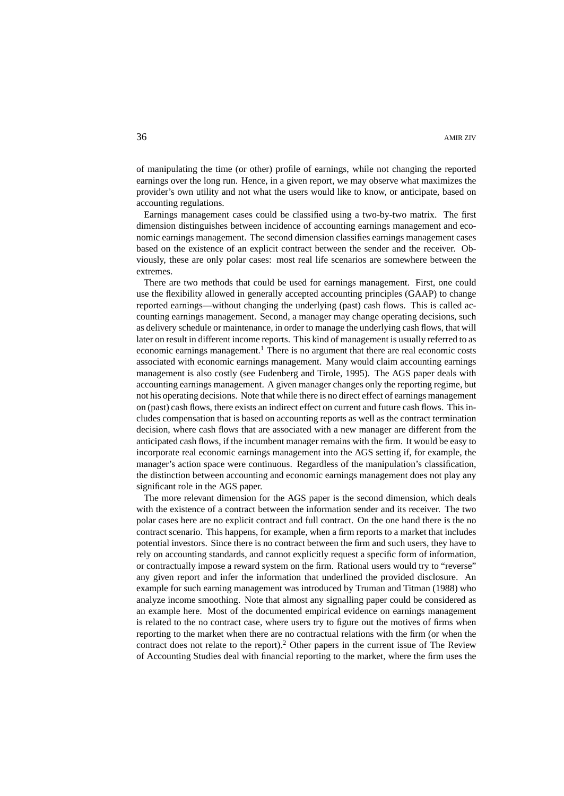of manipulating the time (or other) profile of earnings, while not changing the reported earnings over the long run. Hence, in a given report, we may observe what maximizes the provider's own utility and not what the users would like to know, or anticipate, based on accounting regulations.

Earnings management cases could be classified using a two-by-two matrix. The first dimension distinguishes between incidence of accounting earnings management and economic earnings management. The second dimension classifies earnings management cases based on the existence of an explicit contract between the sender and the receiver. Obviously, these are only polar cases: most real life scenarios are somewhere between the extremes.

There are two methods that could be used for earnings management. First, one could use the flexibility allowed in generally accepted accounting principles (GAAP) to change reported earnings—without changing the underlying (past) cash flows. This is called accounting earnings management. Second, a manager may change operating decisions, such as delivery schedule or maintenance, in order to manage the underlying cash flows, that will later on result in different income reports. This kind of management is usually referred to as economic earnings management.<sup>1</sup> There is no argument that there are real economic costs associated with economic earnings management. Many would claim accounting earnings management is also costly (see Fudenberg and Tirole, 1995). The AGS paper deals with accounting earnings management. A given manager changes only the reporting regime, but not his operating decisions. Note that while there is no direct effect of earnings management on (past) cash flows, there exists an indirect effect on current and future cash flows. This includes compensation that is based on accounting reports as well as the contract termination decision, where cash flows that are associated with a new manager are different from the anticipated cash flows, if the incumbent manager remains with the firm. It would be easy to incorporate real economic earnings management into the AGS setting if, for example, the manager's action space were continuous. Regardless of the manipulation's classification, the distinction between accounting and economic earnings management does not play any significant role in the AGS paper.

The more relevant dimension for the AGS paper is the second dimension, which deals with the existence of a contract between the information sender and its receiver. The two polar cases here are no explicit contract and full contract. On the one hand there is the no contract scenario. This happens, for example, when a firm reports to a market that includes potential investors. Since there is no contract between the firm and such users, they have to rely on accounting standards, and cannot explicitly request a specific form of information, or contractually impose a reward system on the firm. Rational users would try to "reverse" any given report and infer the information that underlined the provided disclosure. An example for such earning management was introduced by Truman and Titman (1988) who analyze income smoothing. Note that almost any signalling paper could be considered as an example here. Most of the documented empirical evidence on earnings management is related to the no contract case, where users try to figure out the motives of firms when reporting to the market when there are no contractual relations with the firm (or when the contract does not relate to the report).<sup>2</sup> Other papers in the current issue of The Review of Accounting Studies deal with financial reporting to the market, where the firm uses the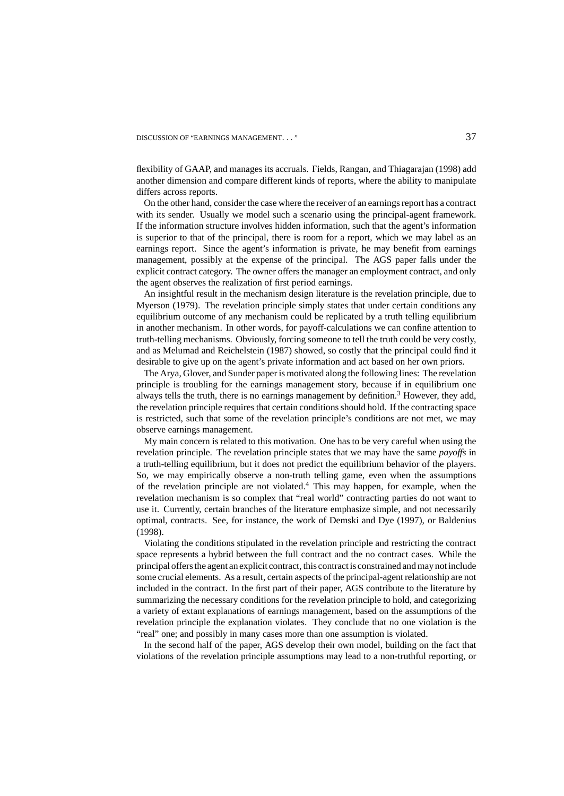# DISCUSSION OF "EARNINGS MANAGEMENT..." 37

flexibility of GAAP, and manages its accruals. Fields, Rangan, and Thiagarajan (1998) add another dimension and compare different kinds of reports, where the ability to manipulate differs across reports.

On the other hand, consider the case where the receiver of an earnings report has a contract with its sender. Usually we model such a scenario using the principal-agent framework. If the information structure involves hidden information, such that the agent's information is superior to that of the principal, there is room for a report, which we may label as an earnings report. Since the agent's information is private, he may benefit from earnings management, possibly at the expense of the principal. The AGS paper falls under the explicit contract category. The owner offers the manager an employment contract, and only the agent observes the realization of first period earnings.

An insightful result in the mechanism design literature is the revelation principle, due to Myerson (1979). The revelation principle simply states that under certain conditions any equilibrium outcome of any mechanism could be replicated by a truth telling equilibrium in another mechanism. In other words, for payoff-calculations we can confine attention to truth-telling mechanisms. Obviously, forcing someone to tell the truth could be very costly, and as Melumad and Reichelstein (1987) showed, so costly that the principal could find it desirable to give up on the agent's private information and act based on her own priors.

The Arya, Glover, and Sunder paper is motivated along the following lines: The revelation principle is troubling for the earnings management story, because if in equilibrium one always tells the truth, there is no earnings management by definition.3 However, they add, the revelation principle requires that certain conditions should hold. If the contracting space is restricted, such that some of the revelation principle's conditions are not met, we may observe earnings management.

My main concern is related to this motivation. One has to be very careful when using the revelation principle. The revelation principle states that we may have the same *payoffs* in a truth-telling equilibrium, but it does not predict the equilibrium behavior of the players. So, we may empirically observe a non-truth telling game, even when the assumptions of the revelation principle are not violated.<sup>4</sup> This may happen, for example, when the revelation mechanism is so complex that "real world" contracting parties do not want to use it. Currently, certain branches of the literature emphasize simple, and not necessarily optimal, contracts. See, for instance, the work of Demski and Dye (1997), or Baldenius (1998).

Violating the conditions stipulated in the revelation principle and restricting the contract space represents a hybrid between the full contract and the no contract cases. While the principal offers the agent an explicit contract, this contract is constrained and may not include some crucial elements. As a result, certain aspects of the principal-agent relationship are not included in the contract. In the first part of their paper, AGS contribute to the literature by summarizing the necessary conditions for the revelation principle to hold, and categorizing a variety of extant explanations of earnings management, based on the assumptions of the revelation principle the explanation violates. They conclude that no one violation is the "real" one; and possibly in many cases more than one assumption is violated.

In the second half of the paper, AGS develop their own model, building on the fact that violations of the revelation principle assumptions may lead to a non-truthful reporting, or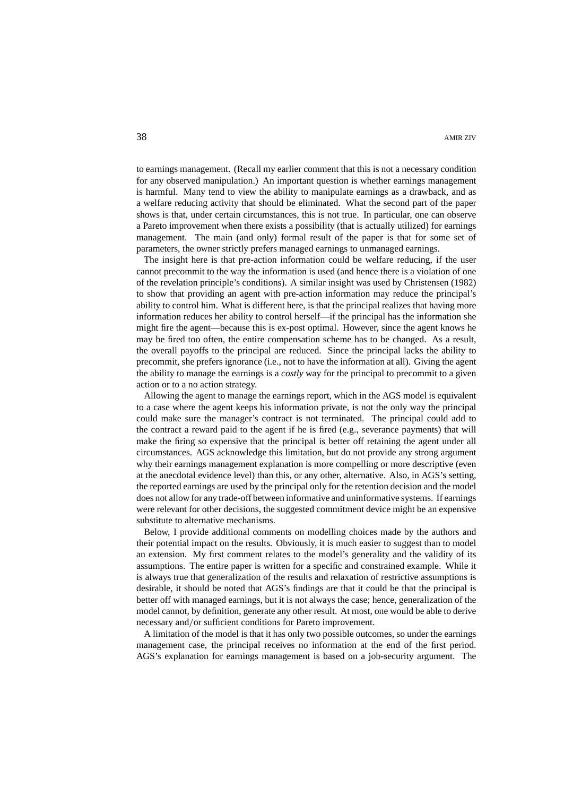to earnings management. (Recall my earlier comment that this is not a necessary condition for any observed manipulation.) An important question is whether earnings management is harmful. Many tend to view the ability to manipulate earnings as a drawback, and as a welfare reducing activity that should be eliminated. What the second part of the paper shows is that, under certain circumstances, this is not true. In particular, one can observe a Pareto improvement when there exists a possibility (that is actually utilized) for earnings management. The main (and only) formal result of the paper is that for some set of parameters, the owner strictly prefers managed earnings to unmanaged earnings.

The insight here is that pre-action information could be welfare reducing, if the user cannot precommit to the way the information is used (and hence there is a violation of one of the revelation principle's conditions). A similar insight was used by Christensen (1982) to show that providing an agent with pre-action information may reduce the principal's ability to control him. What is different here, is that the principal realizes that having more information reduces her ability to control herself—if the principal has the information she might fire the agent—because this is ex-post optimal. However, since the agent knows he may be fired too often, the entire compensation scheme has to be changed. As a result, the overall payoffs to the principal are reduced. Since the principal lacks the ability to precommit, she prefers ignorance (i.e., not to have the information at all). Giving the agent the ability to manage the earnings is a *costly* way for the principal to precommit to a given action or to a no action strategy.

Allowing the agent to manage the earnings report, which in the AGS model is equivalent to a case where the agent keeps his information private, is not the only way the principal could make sure the manager's contract is not terminated. The principal could add to the contract a reward paid to the agent if he is fired (e.g., severance payments) that will make the firing so expensive that the principal is better off retaining the agent under all circumstances. AGS acknowledge this limitation, but do not provide any strong argument why their earnings management explanation is more compelling or more descriptive (even at the anecdotal evidence level) than this, or any other, alternative. Also, in AGS's setting, the reported earnings are used by the principal only for the retention decision and the model does not allow for any trade-off between informative and uninformative systems. If earnings were relevant for other decisions, the suggested commitment device might be an expensive substitute to alternative mechanisms.

Below, I provide additional comments on modelling choices made by the authors and their potential impact on the results. Obviously, it is much easier to suggest than to model an extension. My first comment relates to the model's generality and the validity of its assumptions. The entire paper is written for a specific and constrained example. While it is always true that generalization of the results and relaxation of restrictive assumptions is desirable, it should be noted that AGS's findings are that it could be that the principal is better off with managed earnings, but it is not always the case; hence, generalization of the model cannot, by definition, generate any other result. At most, one would be able to derive necessary and/or sufficient conditions for Pareto improvement.

A limitation of the model is that it has only two possible outcomes, so under the earnings management case, the principal receives no information at the end of the first period. AGS's explanation for earnings management is based on a job-security argument. The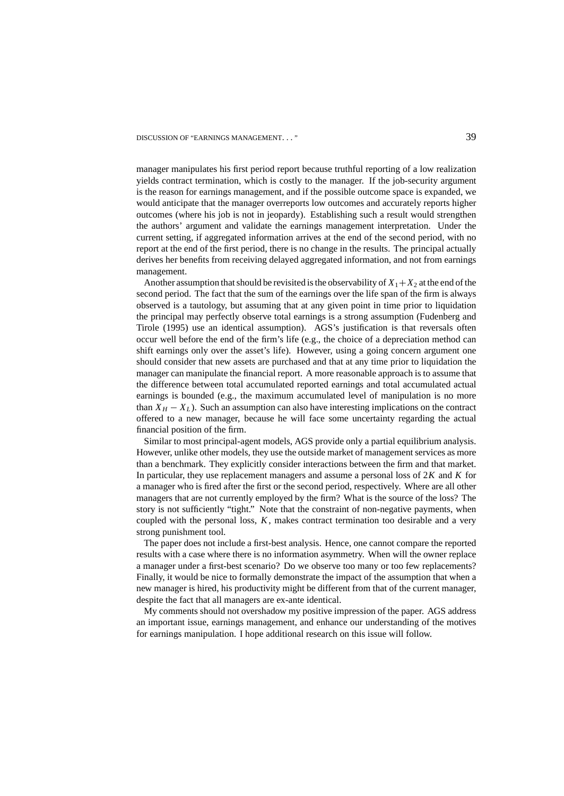DISCUSSION OF "EARNINGS MANAGEMENT..." 39

manager manipulates his first period report because truthful reporting of a low realization yields contract termination, which is costly to the manager. If the job-security argument is the reason for earnings management, and if the possible outcome space is expanded, we would anticipate that the manager overreports low outcomes and accurately reports higher outcomes (where his job is not in jeopardy). Establishing such a result would strengthen the authors' argument and validate the earnings management interpretation. Under the current setting, if aggregated information arrives at the end of the second period, with no report at the end of the first period, there is no change in the results. The principal actually derives her benefits from receiving delayed aggregated information, and not from earnings management.

Another assumption that should be revisited is the observability of  $X_1 + X_2$  at the end of the second period. The fact that the sum of the earnings over the life span of the firm is always observed is a tautology, but assuming that at any given point in time prior to liquidation the principal may perfectly observe total earnings is a strong assumption (Fudenberg and Tirole (1995) use an identical assumption). AGS's justification is that reversals often occur well before the end of the firm's life (e.g., the choice of a depreciation method can shift earnings only over the asset's life). However, using a going concern argument one should consider that new assets are purchased and that at any time prior to liquidation the manager can manipulate the financial report. A more reasonable approach is to assume that the difference between total accumulated reported earnings and total accumulated actual earnings is bounded (e.g., the maximum accumulated level of manipulation is no more than  $X_H - X_L$ ). Such an assumption can also have interesting implications on the contract offered to a new manager, because he will face some uncertainty regarding the actual financial position of the firm.

Similar to most principal-agent models, AGS provide only a partial equilibrium analysis. However, unlike other models, they use the outside market of management services as more than a benchmark. They explicitly consider interactions between the firm and that market. In particular, they use replacement managers and assume a personal loss of 2*K* and *K* for a manager who is fired after the first or the second period, respectively. Where are all other managers that are not currently employed by the firm? What is the source of the loss? The story is not sufficiently "tight." Note that the constraint of non-negative payments, when coupled with the personal loss, *K*, makes contract termination too desirable and a very strong punishment tool.

The paper does not include a first-best analysis. Hence, one cannot compare the reported results with a case where there is no information asymmetry. When will the owner replace a manager under a first-best scenario? Do we observe too many or too few replacements? Finally, it would be nice to formally demonstrate the impact of the assumption that when a new manager is hired, his productivity might be different from that of the current manager, despite the fact that all managers are ex-ante identical.

My comments should not overshadow my positive impression of the paper. AGS address an important issue, earnings management, and enhance our understanding of the motives for earnings manipulation. I hope additional research on this issue will follow.